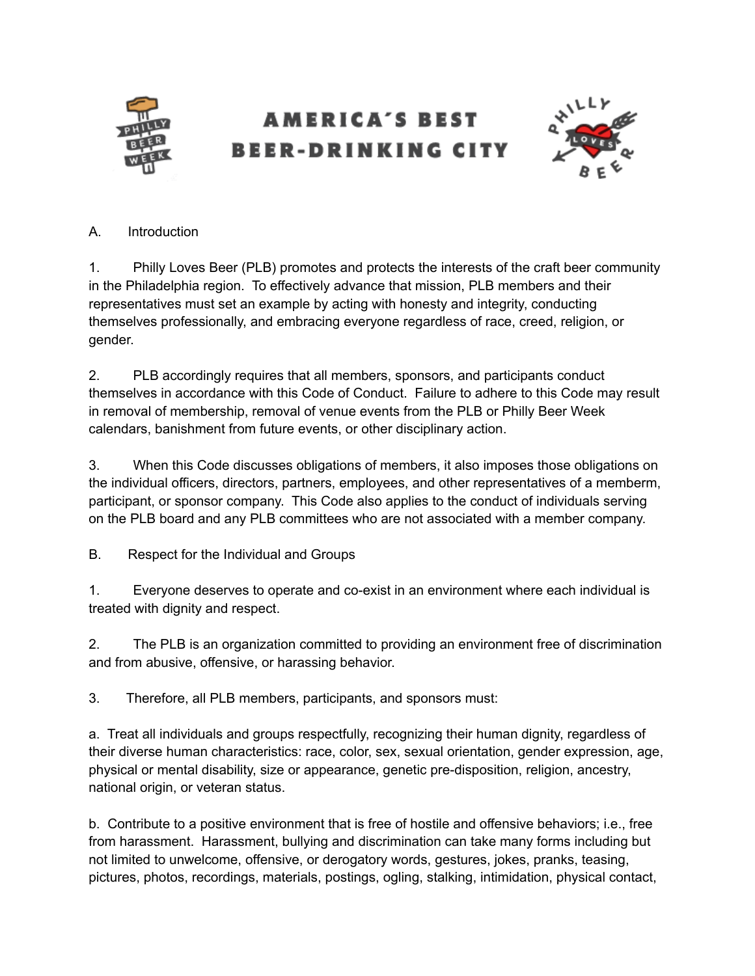

## AMERICA'S BEST BEER-DRINKING CITY



## A. Introduction

1. Philly Loves Beer (PLB) promotes and protects the interests of the craft beer community in the Philadelphia region. To effectively advance that mission, PLB members and their representatives must set an example by acting with honesty and integrity, conducting themselves professionally, and embracing everyone regardless of race, creed, religion, or gender.

2. PLB accordingly requires that all members, sponsors, and participants conduct themselves in accordance with this Code of Conduct. Failure to adhere to this Code may result in removal of membership, removal of venue events from the PLB or Philly Beer Week calendars, banishment from future events, or other disciplinary action.

3. When this Code discusses obligations of members, it also imposes those obligations on the individual officers, directors, partners, employees, and other representatives of a memberm, participant, or sponsor company. This Code also applies to the conduct of individuals serving on the PLB board and any PLB committees who are not associated with a member company.

B. Respect for the Individual and Groups

1. Everyone deserves to operate and co-exist in an environment where each individual is treated with dignity and respect.

2. The PLB is an organization committed to providing an environment free of discrimination and from abusive, offensive, or harassing behavior.

3. Therefore, all PLB members, participants, and sponsors must:

a. Treat all individuals and groups respectfully, recognizing their human dignity, regardless of their diverse human characteristics: race, color, sex, sexual orientation, gender expression, age, physical or mental disability, size or appearance, genetic pre-disposition, religion, ancestry, national origin, or veteran status.

b. Contribute to a positive environment that is free of hostile and offensive behaviors; i.e., free from harassment. Harassment, bullying and discrimination can take many forms including but not limited to unwelcome, offensive, or derogatory words, gestures, jokes, pranks, teasing, pictures, photos, recordings, materials, postings, ogling, stalking, intimidation, physical contact,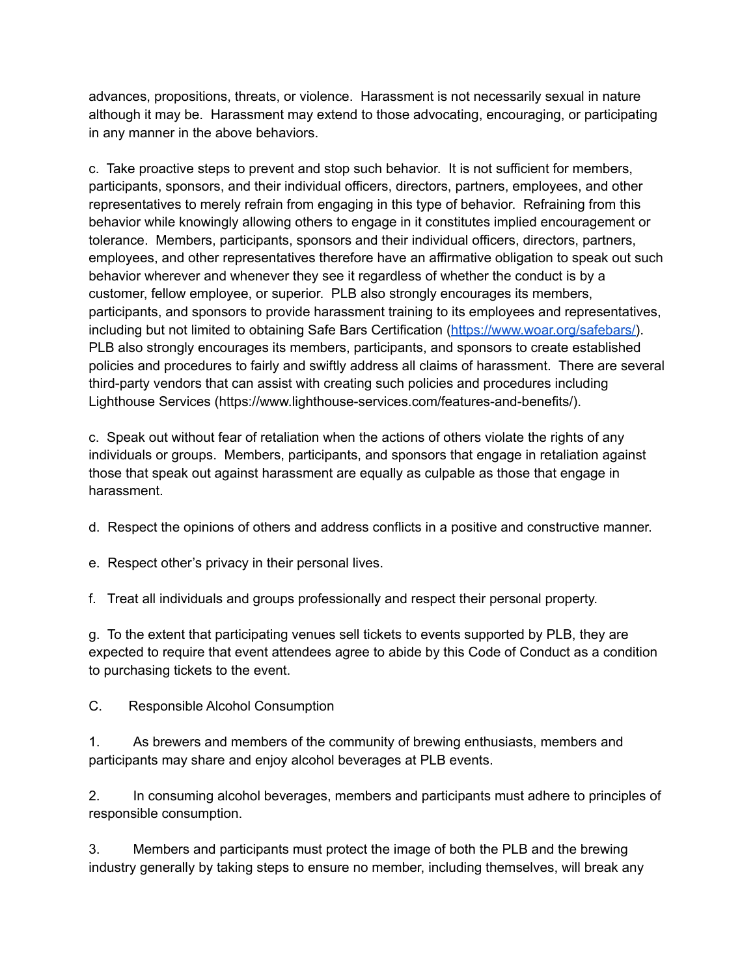advances, propositions, threats, or violence. Harassment is not necessarily sexual in nature although it may be. Harassment may extend to those advocating, encouraging, or participating in any manner in the above behaviors.

c. Take proactive steps to prevent and stop such behavior. It is not sufficient for members, participants, sponsors, and their individual officers, directors, partners, employees, and other representatives to merely refrain from engaging in this type of behavior. Refraining from this behavior while knowingly allowing others to engage in it constitutes implied encouragement or tolerance. Members, participants, sponsors and their individual officers, directors, partners, employees, and other representatives therefore have an affirmative obligation to speak out such behavior wherever and whenever they see it regardless of whether the conduct is by a customer, fellow employee, or superior. PLB also strongly encourages its members, participants, and sponsors to provide harassment training to its employees and representatives, including but not limited to obtaining Safe Bars Certification ([https://www.woar.org/safebars/\)](https://www.woar.org/safebars/). PLB also strongly encourages its members, participants, and sponsors to create established policies and procedures to fairly and swiftly address all claims of harassment. There are several third-party vendors that can assist with creating such policies and procedures including Lighthouse Services (https://www.lighthouse-services.com/features-and-benefits/).

c. Speak out without fear of retaliation when the actions of others violate the rights of any individuals or groups. Members, participants, and sponsors that engage in retaliation against those that speak out against harassment are equally as culpable as those that engage in harassment.

- d. Respect the opinions of others and address conflicts in a positive and constructive manner.
- e. Respect other's privacy in their personal lives.
- f. Treat all individuals and groups professionally and respect their personal property.

g. To the extent that participating venues sell tickets to events supported by PLB, they are expected to require that event attendees agree to abide by this Code of Conduct as a condition to purchasing tickets to the event.

C. Responsible Alcohol Consumption

1. As brewers and members of the community of brewing enthusiasts, members and participants may share and enjoy alcohol beverages at PLB events.

2. In consuming alcohol beverages, members and participants must adhere to principles of responsible consumption.

3. Members and participants must protect the image of both the PLB and the brewing industry generally by taking steps to ensure no member, including themselves, will break any